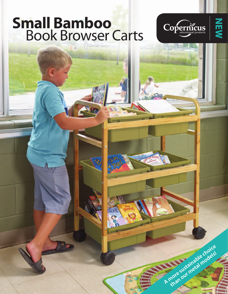## **Small Bamboo Book Browser Carts**

 $\overline{\mathcal{C}}$ 



**A more sustainable choice**